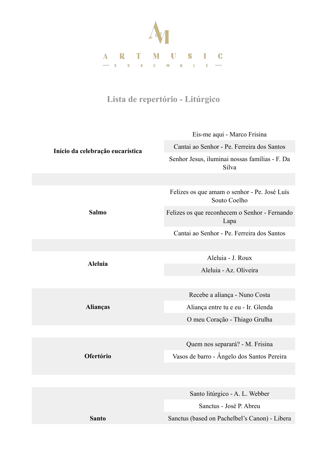

## **Lista de repertório - Litúrgico**

| Início da celebração eucarística | Eis-me aqui - Marco Frisina                                  |
|----------------------------------|--------------------------------------------------------------|
|                                  | Cantai ao Senhor - Pe. Ferreira dos Santos                   |
|                                  | Senhor Jesus, iluminai nossas famílias - F. Da<br>Silva      |
|                                  |                                                              |
| <b>Salmo</b>                     | Felizes os que amam o senhor - Pe. José Luís<br>Souto Coelho |
|                                  | Felizes os que reconhecem o Senhor - Fernando<br>Lapa        |
|                                  | Cantai ao Senhor - Pe. Ferreira dos Santos                   |
|                                  |                                                              |
| <b>Aleluia</b>                   | Aleluia - J. Roux                                            |
|                                  | Aleluia - Az. Oliveira                                       |
|                                  |                                                              |
| Alianças                         | Recebe a aliança - Nuno Costa                                |
|                                  | Aliança entre tu e eu - Ir. Glenda                           |
|                                  | O meu Coração - Thiago Grulha                                |
|                                  |                                                              |
| Ofertório                        | Quem nos separará? - M. Frisina                              |
|                                  | Vasos de barro - Ângelo dos Santos Pereira                   |
|                                  |                                                              |
|                                  |                                                              |
|                                  | Santo litúrgico - A. L. Webber                               |
|                                  | Sanctus - José P. Abreu                                      |
| <b>Santo</b>                     | Sanctus (based on Pachelbel's Canon) - Libera                |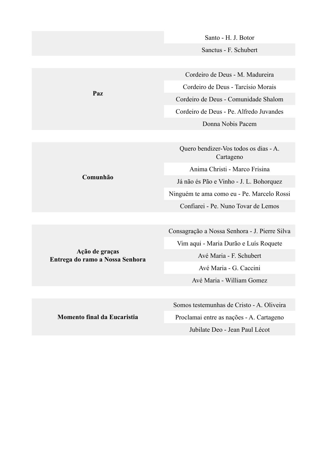Santo - H. J. Botor Sanctus - F. Schubert

Cordeiro de Deus - M. Madureira Cordeiro de Deus - Tarcísio Morais Cordeiro de Deus - Comunidade Shalom Cordeiro de Deus - Pe. Alfredo Juvandes Donna Nobis Pacem

Quero bendizer-Vos todos os dias - A. Cartageno Anima Christi - Marco Frisina Já não és Pão e Vinho - J. L. Bohorquez Ninguém te ama como eu - Pe. Marcelo Rossi Confiarei - Pe. Nuno Tovar de Lemos

Consagração a Nossa Senhora - J. Pierre Silva Vim aqui - Maria Durão e Luís Roquete Avé Maria - F. Schubert Avé Maria - G. Caccini Avé Maria - William Gomez

Somos testemunhas de Cristo - A. Oliveira Proclamai entre as nações - A. Cartageno Jubilate Deo - Jean Paul Lécot

**Paz**

**Comunhão**

**Momento final da Eucaristia** 

**Ação de graças Entrega do ramo a Nossa Senhora**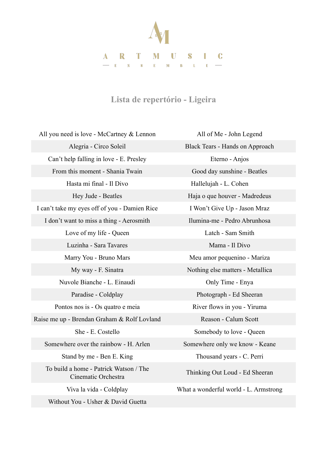

## **Lista de repertório - Ligeira**

All you need is love - McCartney & Lennon All of Me - John Legend Alegria - Circo Soleil Black Tears - Hands on Approach Can't help falling in love - E. Presley Eterno - Anjos From this moment - Shania Twain Good day sunshine - Beatles Hasta mi final - Il Divo Hallelujah - L. Cohen I can't take my eyes off of you - Damien Rice I Won't Give Up - Jason Mraz I don't want to miss a thing - Aerosmith Ilumina-me - Pedro Abrunhosa Love of my life - Queen Latch - Sam Smith Luzinha - Sara Tavares Mama - Il Divo Marry You - Bruno Mars Meu amor pequenino - Mariza Nuvole Bianche - L. Einaudi Only Time - Enya Paradise - Coldplay Photograph - Ed Sheeran Pontos nos is - Os quatro e meia River flows in you - Yiruma Raise me up - Brendan Graham & Rolf Lovland Reason - Calum Scott She - E. Costello Somebody to love - Queen Somewhere over the rainbow - H. Arlen Somewhere only we know - Keane Stand by me - Ben E. King Thousand years - C. Perri To build a home - Patrick Watson / The Without You - Usher & David Guetta

Hey Jude - Beatles Haja o que houver - Madredeus My way - F. Sinatra Nothing else matters - Metallica Cinematic Orchestra Thinking Out Loud - Ed Sheeran Viva la vida - Coldplay What a wonderful world - L. Armstrong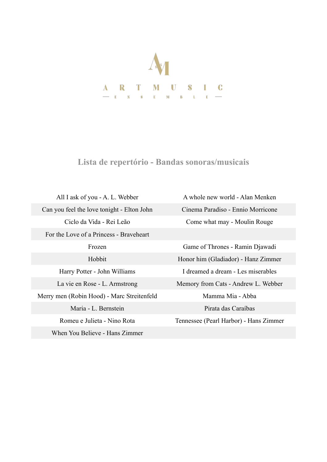

**Lista de repertório - Bandas sonoras/musicais** 

All I ask of you - A. L. Webber A whole new world - Alan Menken Can you feel the love tonight - Elton John Cinema Paradiso - Ennio Morricone For the Love of a Princess - Braveheart Merry men (Robin Hood) - Marc Streitenfeld Mamma Mia - Abba Maria - L. Bernstein Pirata das Caraíbas When You Believe - Hans Zimmer

Ciclo da Vida - Rei Leão Come what may - Moulin Rouge Frozen Game of Thrones - Ramin Djawadi Hobbit Honor him (Gladiador) - Hanz Zimmer Harry Potter - John Williams I dreamed a dream - Les miserables La vie en Rose - L. Armstrong Memory from Cats - Andrew L. Webber

Romeu e Julieta - Nino Rota Tennessee (Pearl Harbor) - Hans Zimmer